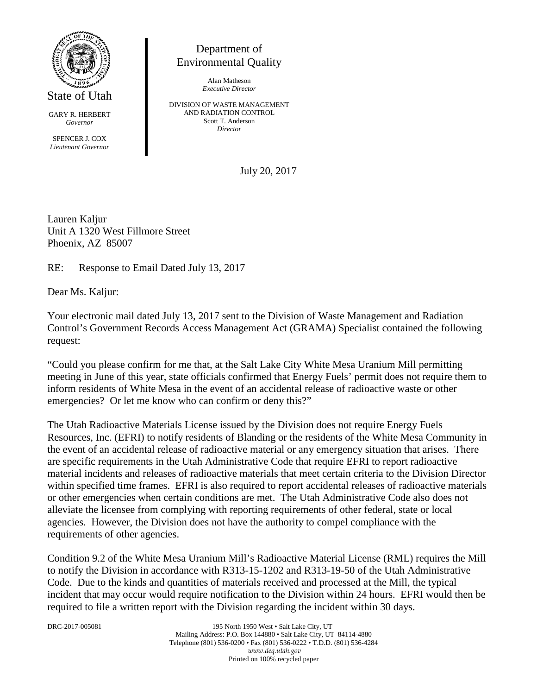

GARY R. HERBERT

*Governor*

SPENCER J. COX *Lieutenant Governor*

Department of Environmental Quality

> Alan Matheson *Executive Director*

DIVISION OF WASTE MANAGEMENT AND RADIATION CONTROL Scott T. Anderson *Director*

July 20, 2017

Lauren Kaljur Unit A 1320 West Fillmore Street Phoenix, AZ 85007

RE: Response to Email Dated July 13, 2017

Dear Ms. Kaljur:

Your electronic mail dated July 13, 2017 sent to the Division of Waste Management and Radiation Control's Government Records Access Management Act (GRAMA) Specialist contained the following request:

"Could you please confirm for me that, at the Salt Lake City White Mesa Uranium Mill permitting meeting in June of this year, state officials confirmed that Energy Fuels' permit does not require them to inform residents of White Mesa in the event of an accidental release of radioactive waste or other emergencies? Or let me know who can confirm or deny this?"

The Utah Radioactive Materials License issued by the Division does not require Energy Fuels Resources, Inc. (EFRI) to notify residents of Blanding or the residents of the White Mesa Community in the event of an accidental release of radioactive material or any emergency situation that arises. There are specific requirements in the Utah Administrative Code that require EFRI to report radioactive material incidents and releases of radioactive materials that meet certain criteria to the Division Director within specified time frames. EFRI is also required to report accidental releases of radioactive materials or other emergencies when certain conditions are met. The Utah Administrative Code also does not alleviate the licensee from complying with reporting requirements of other federal, state or local agencies. However, the Division does not have the authority to compel compliance with the requirements of other agencies.

Condition 9.2 of the White Mesa Uranium Mill's Radioactive Material License (RML) requires the Mill to notify the Division in accordance with R313-15-1202 and R313-19-50 of the Utah Administrative Code. Due to the kinds and quantities of materials received and processed at the Mill, the typical incident that may occur would require notification to the Division within 24 hours. EFRI would then be required to file a written report with the Division regarding the incident within 30 days.

DRC-2017-005081 195 North 1950 West • Salt Lake City, UT Mailing Address: P.O. Box 144880 • Salt Lake City, UT 84114-4880 Telephone (801) 536-0200 • Fax (801) 536-0222 • T.D.D. (801) 536-4284 *www.deq.utah.gov* Printed on 100% recycled paper